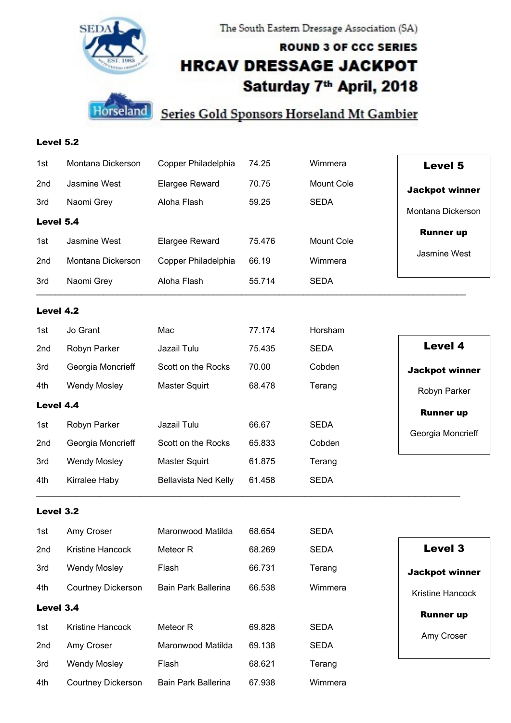

The South Eastern Dressage Association (SA)

# **ROUND 3 OF CCC SERIES HRCAV DRESSAGE JACKPOT** Saturday 7<sup>th</sup> April, 2018



Level 5.2

4th

**Courtney Dickerson** 

**Bain Park Ballerina** 

## **Series Gold Sponsors Horseland Mt Gambier**

| 1st       | Montana Dickerson         | Copper Philadelphia         | 74.25  | Wimmera           | <b>Level 5</b>        |
|-----------|---------------------------|-----------------------------|--------|-------------------|-----------------------|
| 2nd       | Jasmine West              | Elargee Reward              | 70.75  | Mount Cole        | <b>Jackpot winner</b> |
| 3rd       | Naomi Grey                | Aloha Flash                 | 59.25  | <b>SEDA</b>       | Montana Dickerson     |
| Level 5.4 |                           |                             |        |                   |                       |
| 1st       | Jasmine West              | <b>Elargee Reward</b>       | 75.476 | <b>Mount Cole</b> | <b>Runner up</b>      |
| 2nd       | Montana Dickerson         | Copper Philadelphia         | 66.19  | Wimmera           | Jasmine West          |
| 3rd       | Naomi Grey                | Aloha Flash                 | 55.714 | <b>SEDA</b>       |                       |
| Level 4.2 |                           |                             |        |                   |                       |
| 1st       | Jo Grant                  | Mac                         | 77.174 | Horsham           |                       |
| 2nd       | Robyn Parker              | Jazail Tulu                 | 75.435 | <b>SEDA</b>       | <b>Level 4</b>        |
| 3rd       | Georgia Moncrieff         | Scott on the Rocks          | 70.00  | Cobden            | <b>Jackpot winner</b> |
| 4th       | <b>Wendy Mosley</b>       | Master Squirt               | 68.478 | Terang            | Robyn Parker          |
| Level 4.4 |                           |                             |        |                   | <b>Runner up</b>      |
| 1st       | Robyn Parker              | Jazail Tulu                 | 66.67  | <b>SEDA</b>       | Georgia Moncrieff     |
| 2nd       | Georgia Moncrieff         | Scott on the Rocks          | 65.833 | Cobden            |                       |
| 3rd       | <b>Wendy Mosley</b>       | <b>Master Squirt</b>        | 61.875 | Terang            |                       |
| 4th       | Kirralee Haby             | <b>Bellavista Ned Kelly</b> | 61.458 | <b>SEDA</b>       |                       |
| Level 3.2 |                           |                             |        |                   |                       |
| 1st       | Amy Croser                | Maronwood Matilda           | 68.654 | <b>SEDA</b>       |                       |
| 2nd       | Kristine Hancock          | Meteor R                    | 68.269 | <b>SEDA</b>       | Level 3               |
| 3rd       | <b>Wendy Mosley</b>       | Flash                       | 66.731 | Terang            | <b>Jackpot winner</b> |
| 4th       | <b>Courtney Dickerson</b> | Bain Park Ballerina         | 66.538 | Wimmera           | Kristine Hancock      |
| Level 3.4 |                           |                             |        |                   | <b>Runner up</b>      |
| 1st       | Kristine Hancock          | Meteor R                    | 69.828 | <b>SEDA</b>       | Amy Croser            |
| 2nd       | Amy Croser                | Maronwood Matilda           | 69.138 | <b>SEDA</b>       |                       |
| 3rd       | <b>Wendy Mosley</b>       | Flash                       | 68.621 | Terang            |                       |

67.938

Wimmera